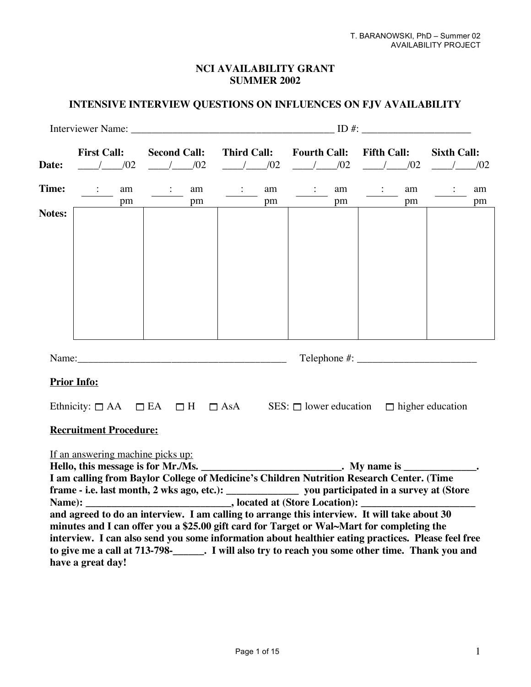# **NCI AVAILABILITY GRANT SUMMER 2002**

# **INTENSIVE INTERVIEW QUESTIONS ON INFLUENCES ON FJV AVAILABILITY**

|              |                                         |         |  | Interviewer Name: ID #:                                                                                                                                                                              |                                                                |           |                     |    |                    |    |                    |    |
|--------------|-----------------------------------------|---------|--|------------------------------------------------------------------------------------------------------------------------------------------------------------------------------------------------------|----------------------------------------------------------------|-----------|---------------------|----|--------------------|----|--------------------|----|
|              | <b>First Call:</b>                      |         |  | <b>Second Call:</b>                                                                                                                                                                                  | <b>Third Call:</b>                                             |           | <b>Fourth Call:</b> |    | <b>Fifth Call:</b> |    | <b>Sixth Call:</b> |    |
| Date:        |                                         | $/$ /02 |  | 1/02                                                                                                                                                                                                 |                                                                | $/$ $/02$ | $/$ $/02$           |    | 1/02               |    | $/$ $/02$          |    |
| <b>Time:</b> | $\ddot{\cdot}$                          | am      |  | $\ddot{\cdot}$<br>am                                                                                                                                                                                 | $\ddot{\phantom{a}}$                                           | am        | $\ddot{\cdot}$      | am | $\ddot{\cdot}$     | am | $\ddot{\cdot}$     | am |
|              |                                         | pm      |  | pm                                                                                                                                                                                                   |                                                                | pm        |                     | pm |                    | pm |                    | pm |
| Notes:       |                                         |         |  |                                                                                                                                                                                                      |                                                                |           |                     |    |                    |    |                    |    |
|              |                                         |         |  |                                                                                                                                                                                                      |                                                                |           |                     |    |                    |    |                    |    |
|              |                                         |         |  |                                                                                                                                                                                                      |                                                                |           |                     |    |                    |    |                    |    |
|              |                                         |         |  |                                                                                                                                                                                                      |                                                                |           |                     |    |                    |    |                    |    |
|              |                                         |         |  |                                                                                                                                                                                                      |                                                                |           |                     |    |                    |    |                    |    |
|              |                                         |         |  |                                                                                                                                                                                                      |                                                                |           |                     |    |                    |    |                    |    |
|              |                                         |         |  |                                                                                                                                                                                                      |                                                                |           |                     |    |                    |    |                    |    |
|              |                                         |         |  |                                                                                                                                                                                                      |                                                                |           |                     |    |                    |    |                    |    |
|              |                                         |         |  |                                                                                                                                                                                                      |                                                                |           |                     |    |                    |    |                    |    |
|              |                                         |         |  |                                                                                                                                                                                                      |                                                                |           |                     |    |                    |    |                    |    |
|              |                                         |         |  |                                                                                                                                                                                                      |                                                                |           |                     |    |                    |    |                    |    |
|              | <b>Prior Info:</b>                      |         |  |                                                                                                                                                                                                      |                                                                |           |                     |    |                    |    |                    |    |
|              | Ethnicity: $\Box$ AA $\Box$ EA $\Box$ H |         |  |                                                                                                                                                                                                      | $\Box$ AsA SES: $\Box$ lower education $\Box$ higher education |           |                     |    |                    |    |                    |    |
|              |                                         |         |  |                                                                                                                                                                                                      |                                                                |           |                     |    |                    |    |                    |    |
|              | <b>Recruitment Procedure:</b>           |         |  |                                                                                                                                                                                                      |                                                                |           |                     |    |                    |    |                    |    |
|              |                                         |         |  |                                                                                                                                                                                                      |                                                                |           |                     |    |                    |    |                    |    |
|              | If an answering machine picks up:       |         |  | Hello, this message is for Mr./Ms. ________________________. My name is ___________.                                                                                                                 |                                                                |           |                     |    |                    |    |                    |    |
|              |                                         |         |  | I am calling from Baylor College of Medicine's Children Nutrition Research Center. (Time                                                                                                             |                                                                |           |                     |    |                    |    |                    |    |
|              |                                         |         |  | frame - i.e. last month, 2 wks ago, etc.): _____________________ you participated in a survey at (Store                                                                                              |                                                                |           |                     |    |                    |    |                    |    |
|              |                                         |         |  |                                                                                                                                                                                                      |                                                                |           |                     |    |                    |    |                    |    |
|              |                                         |         |  | and agreed to do an interview. I am calling to arrange this interview. It will take about 30                                                                                                         |                                                                |           |                     |    |                    |    |                    |    |
|              |                                         |         |  | minutes and I can offer you a \$25.00 gift card for Target or Wal~Mart for completing the                                                                                                            |                                                                |           |                     |    |                    |    |                    |    |
|              |                                         |         |  | interview. I can also send you some information about healthier eating practices. Please feel free<br>to give me a call at 713-798-<br>. I will also try to reach you some other time. Thank you and |                                                                |           |                     |    |                    |    |                    |    |
|              | have a great day!                       |         |  |                                                                                                                                                                                                      |                                                                |           |                     |    |                    |    |                    |    |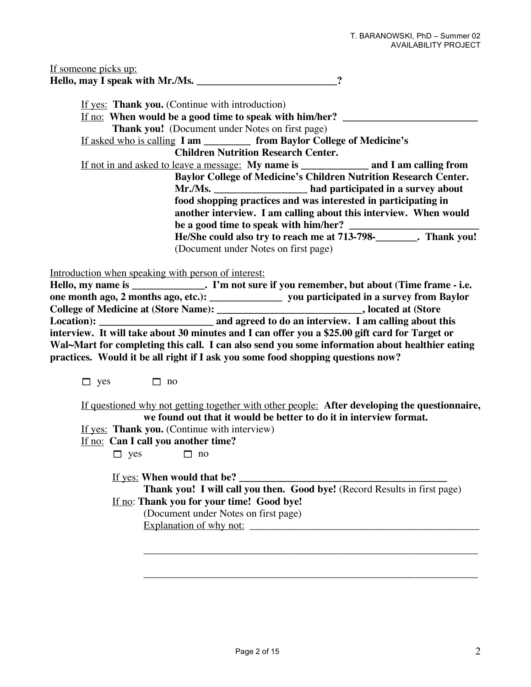| If someone picks up:            |  |
|---------------------------------|--|
| Hello, may I speak with Mr./Ms. |  |

| If yes: Thank you. (Continue with introduction)                                                 |                                                                       |                                                                    |  |  |  |  |  |
|-------------------------------------------------------------------------------------------------|-----------------------------------------------------------------------|--------------------------------------------------------------------|--|--|--|--|--|
| <u>If no:</u> When would be a good time to speak with him/her?                                  |                                                                       |                                                                    |  |  |  |  |  |
| <b>Thank you!</b> (Document under Notes on first page)                                          |                                                                       |                                                                    |  |  |  |  |  |
|                                                                                                 | <u>If asked who is calling I am from Baylor College of Medicine's</u> |                                                                    |  |  |  |  |  |
|                                                                                                 | <b>Children Nutrition Research Center.</b>                            |                                                                    |  |  |  |  |  |
| <u>If not in and asked to leave a message:</u> My name is _______________ and I am calling from |                                                                       |                                                                    |  |  |  |  |  |
| <b>Baylor College of Medicine's Children Nutrition Research Center.</b>                         |                                                                       |                                                                    |  |  |  |  |  |
|                                                                                                 |                                                                       | Mr./Ms. ______________________ had participated in a survey about  |  |  |  |  |  |
|                                                                                                 |                                                                       | food shopping practices and was interested in participating in     |  |  |  |  |  |
| another interview. I am calling about this interview. When would                                |                                                                       |                                                                    |  |  |  |  |  |
| be a good time to speak with him/her?                                                           |                                                                       |                                                                    |  |  |  |  |  |
|                                                                                                 |                                                                       | He/She could also try to reach me at 713-798-<br>No. 71 Thank you! |  |  |  |  |  |
|                                                                                                 | (Document under Notes on first page)                                  |                                                                    |  |  |  |  |  |

Introduction when speaking with person of interest:

| one month ago, 2 months ago, etc.):         | you participated in a survey from Baylor                                                       |
|---------------------------------------------|------------------------------------------------------------------------------------------------|
| <b>College of Medicine at (Store Name):</b> | <b>Notified At String Control</b> , located at (Store                                          |
|                                             | and agreed to do an interview. I am calling about this                                         |
|                                             | interview. It will take about 30 minutes and I can offer you a \$25.00 gift card for Target or |
|                                             | Wal~Mart for completing this call. I can also send you some information about healthier eating |
|                                             | practices. Would it be all right if I ask you some food shopping questions now?                |

 $\Box$  yes  $\Box$  no

If questioned why not getting together with other people: **After developing the questionnaire, we found out that it would be better to do it in interview format.**

If yes: **Thank you.** (Continue with interview)

If no: **Can I call you another time?**  $\Box$  yes  $\Box$  no

> If yes: **When would that be? \_\_\_\_\_\_\_\_\_\_\_\_\_\_\_\_\_\_\_\_\_\_\_\_\_\_\_\_\_\_\_\_\_\_\_\_\_\_\_\_ Thank you! I will call you then. Good bye!** (Record Results in first page) If no: **Thank you for your time! Good bye!**

\_\_\_\_\_\_\_\_\_\_\_\_\_\_\_\_\_\_\_\_\_\_\_\_\_\_\_\_\_\_\_\_\_\_\_\_\_\_\_\_\_\_\_\_\_\_\_\_\_\_\_\_\_\_\_\_\_\_\_\_\_\_\_\_

\_\_\_\_\_\_\_\_\_\_\_\_\_\_\_\_\_\_\_\_\_\_\_\_\_\_\_\_\_\_\_\_\_\_\_\_\_\_\_\_\_\_\_\_\_\_\_\_\_\_\_\_\_\_\_\_\_\_\_\_\_\_\_\_

(Document under Notes on first page) Explanation of why not: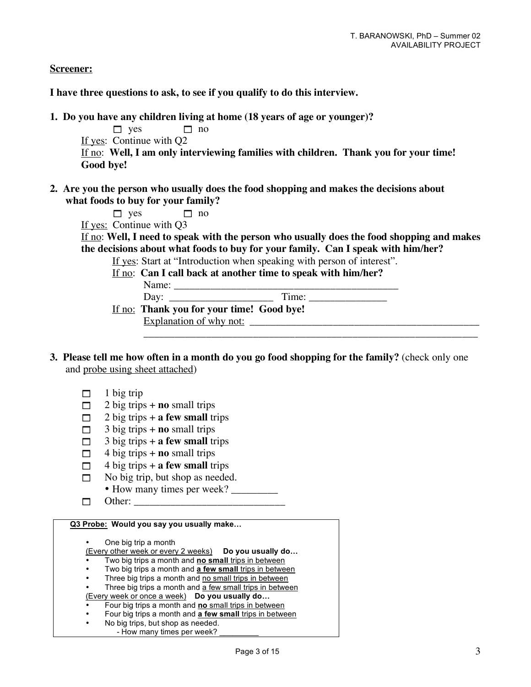**Screener:**

**I have three questions to ask, to see if you qualify to do this interview.**

**1. Do you have any children living at home (18 years of age or younger)?**

 $\Box$  yes  $\Box$  no If yes: Continue with Q2 If no: **Well, I am only interviewing families with children. Thank you for your time! Good bye!**

**2. Are you the person who usually does the food shopping and makes the decisions about what foods to buy for your family?**

 $\Box$  yes  $\Box$  no

If yes: Continue with Q3

If no: **Well, I need to speak with the person who usually does the food shopping and makes the decisions about what foods to buy for your family. Can I speak with him/her?**

\_\_\_\_\_\_\_\_\_\_\_\_\_\_\_\_\_\_\_\_\_\_\_\_\_\_\_\_\_\_\_\_\_\_\_\_\_\_\_\_\_\_\_\_\_\_\_\_\_\_\_\_\_\_\_\_\_\_\_\_\_\_\_\_

If yes: Start at "Introduction when speaking with person of interest".

If no: **Can I call back at another time to speak with him/her?**

Name: \_\_\_\_\_\_\_\_\_\_\_\_\_\_\_\_\_\_\_\_\_\_\_\_\_\_\_\_\_\_\_\_\_\_\_\_\_\_\_\_\_\_\_ Day: \_\_\_\_\_\_\_\_\_\_\_\_\_\_\_\_\_\_\_\_ Time: \_\_\_\_\_\_\_\_\_\_\_\_\_\_\_ If no: **Thank you for your time! Good bye!**

Explanation of why not:

- **3. Please tell me how often in a month do you go food shopping for the family?** (check only one and probe using sheet attached)
	- $\Box$  1 big trip
	- $\Box$  2 big trips + **no** small trips
	- $\Box$  2 big trips + **a few small** trips
	- $\Box$  3 big trips + **no** small trips
	- $\Box$  3 big trips + **a few small** trips
	- $\Box$  4 big trips + **no** small trips
	- $\Box$  4 big trips + **a few small** trips
	- $\Box$  No big trip, but shop as needed.
		- How many times per week?
	- Other: \_\_\_\_\_\_\_\_\_\_\_\_\_\_\_\_\_\_\_\_\_\_\_\_\_\_\_\_\_

**Q3 Probe: Would you say you usually make…**

• One big trip a month

(Every other week or every 2 weeks) **Do you usually do…**

- Two big trips a month and **no small** trips in between
- Two big trips a month and **a few small** trips in between
- Three big trips a month and no small trips in between
- Three big trips a month and a few small trips in between (Every week or once a week) **Do you usually do…**
- Four big trips a month and **no** small trips in between
- Four big trips a month and **a few small** trips in between
- No big trips, but shop as needed.
	- How many times per week?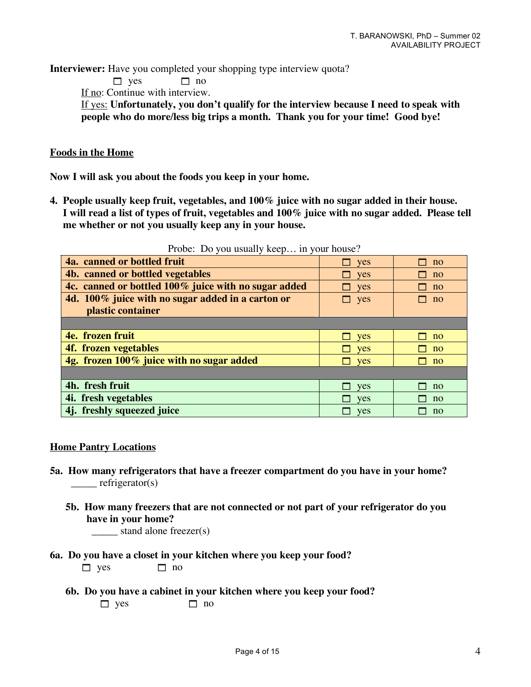**Interviewer:** Have you completed your shopping type interview quota?

 $\Box$  yes  $\Box$  no

If no: Continue with interview.

If yes: **Unfortunately, you don't qualify for the interview because I need to speak with people who do more/less big trips a month. Thank you for your time! Good bye!**

### **Foods in the Home**

**Now I will ask you about the foods you keep in your home.**

**4. People usually keep fruit, vegetables, and 100% juice with no sugar added in their house. I will read a list of types of fruit, vegetables and 100% juice with no sugar added. Please tell me whether or not you usually keep any in your house.**

| $11000$ . Do you abuuny Roop In your house.          |               |                |
|------------------------------------------------------|---------------|----------------|
| 4a. canned or bottled fruit                          | yes<br>$\Box$ | no             |
| 4b. canned or bottled vegetables                     | $\Box$ yes    | no             |
| 4c. canned or bottled 100% juice with no sugar added | $\Box$ yes    | $\overline{p}$ |
| 4d. 100% juice with no sugar added in a carton or    | $\Box$ yes    | no             |
| plastic container                                    |               |                |
|                                                      |               |                |
| 4e. frozen fruit                                     | $\Box$ yes    | no             |
| 4f. frozen vegetables                                | <b>ves</b>    | no             |
| 4g. frozen 100% juice with no sugar added            | yes           | no             |
|                                                      |               |                |
| 4h. fresh fruit                                      | yes           | no             |
| 4 <i>i</i> . fresh vegetables                        | yes           | no             |
| 4j. freshly squeezed juice                           | yes           | no             |

Probe: Do you usually keep… in your house?

### **Home Pantry Locations**

- **5a. How many refrigerators that have a freezer compartment do you have in your home?**   $\qquad \qquad$  refrigerator(s)
	- **5b. How many freezers that are not connected or not part of your refrigerator do you have in your home?**

stand alone freezer(s)

**6a. Do you have a closet in your kitchen where you keep your food?**

 $\Box$  yes  $\Box$  no

**6b. Do you have a cabinet in your kitchen where you keep your food?**  $\Box$  yes  $\Box$  no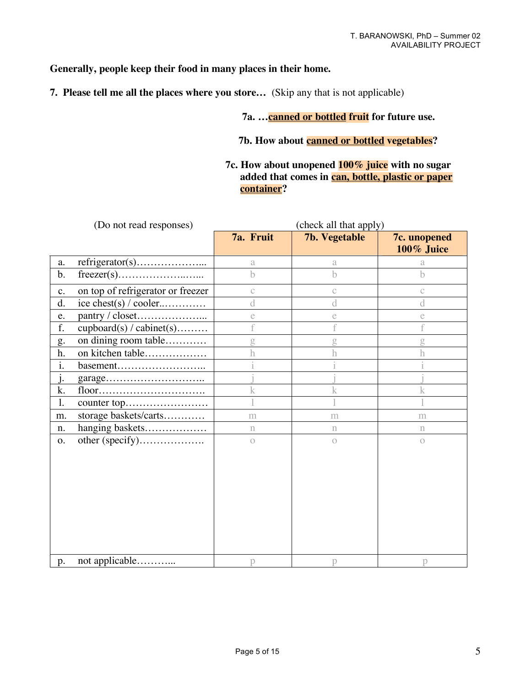# **Generally, people keep their food in many places in their home.**

**7. Please tell me all the places where you store…** (Skip any that is not applicable)

# **7a. …canned or bottled fruit for future use.**

## **7b. How about canned or bottled vegetables?**

## **7c. How about unopened 100% juice with no sugar added that comes in can, bottle, plastic or paper container?**

|                | (Do not read responses)           |             | (check all that apply) |                            |
|----------------|-----------------------------------|-------------|------------------------|----------------------------|
|                |                                   | 7a. Fruit   | <b>7b. Vegetable</b>   | 7c. unopened<br>100% Juice |
| a.             |                                   | a           | a                      | a                          |
| b.             |                                   | $\mathbf b$ | b.                     | h                          |
| $\mathbf{c}$ . | on top of refrigerator or freezer | $\ddot{C}$  | $\mathbb{C}$           | $\mathcal{C}$              |
| d.             | ice chest(s) / cooler             | d           | d                      | d                          |
| e.             |                                   | e           | e                      | e                          |
| f.             | $cubbcard(s) / cabinet(s)$        |             |                        |                            |
| g.             | on dining room table              | g           | g                      | g                          |
| h.             | on kitchen table                  | h           |                        | h                          |
| i.             | basement                          |             |                        |                            |
| $\cdot$        |                                   |             |                        |                            |
| k.             |                                   | k           | k                      | k                          |
| 1.             |                                   |             |                        |                            |
| m.             | storage baskets/carts             | m           | m                      | m                          |
| n.             | hanging baskets                   | $\mathbf n$ | n                      | n                          |
| 0.             | other (specify)                   | $\circ$     | $\bigcirc$             | $\bigcirc$                 |
| p.             | not applicable                    | p           | p                      | p                          |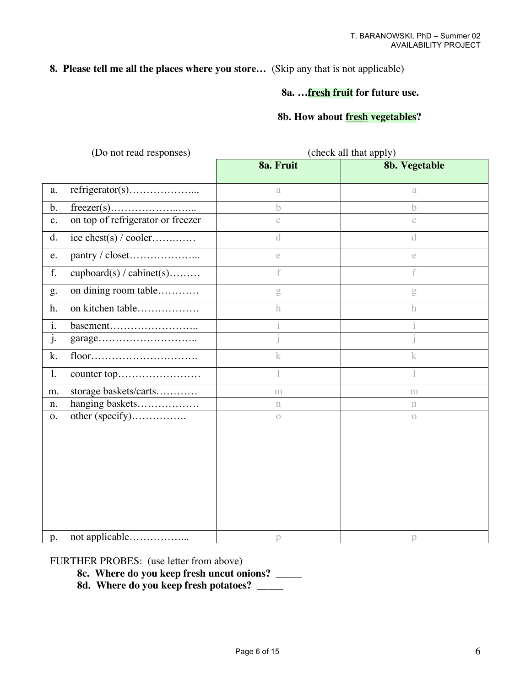# **8. Please tell me all the places where you store…** (Skip any that is not applicable)

## **8a. …fresh fruit for future use.**

## **8b. How about fresh vegetables?**

|                | (Do not read responses)           | (check all that apply) |               |  |  |  |
|----------------|-----------------------------------|------------------------|---------------|--|--|--|
|                |                                   | 8a. Fruit              | 8b. Vegetable |  |  |  |
| a.             |                                   | a                      | a             |  |  |  |
| b.             |                                   | b                      | h             |  |  |  |
| $\mathbf{c}$ . | on top of refrigerator or freezer | $\mathcal{C}$          | $\mathbb{C}$  |  |  |  |
| d.             | ice chest(s) / cooler             | $\rm d$                | d             |  |  |  |
| e.             |                                   | e                      | $\mathsf{e}$  |  |  |  |
| f.             | cupboard(s) / cabinet(s)          | f                      | f             |  |  |  |
| g.             | on dining room table              | g                      | $\mathbf g$   |  |  |  |
| h.             | on kitchen table                  | $\mathbf h$            | h             |  |  |  |
| i.             | basement                          |                        |               |  |  |  |
| j.             |                                   |                        |               |  |  |  |
| k.             |                                   | k                      | k             |  |  |  |
| $\mathbf{1}$ . |                                   |                        |               |  |  |  |
| m.             | storage baskets/carts             | m                      | m             |  |  |  |
| n.             | hanging baskets                   | $\mathbf n$            | $\mathbf n$   |  |  |  |
| 0.             | other (specify)                   | $\bigcirc$             | $\circ$       |  |  |  |
|                |                                   |                        |               |  |  |  |
|                |                                   |                        |               |  |  |  |
|                |                                   |                        |               |  |  |  |
|                |                                   |                        |               |  |  |  |
|                |                                   |                        |               |  |  |  |
|                |                                   |                        |               |  |  |  |
|                |                                   |                        |               |  |  |  |
| p.             |                                   | p                      | р             |  |  |  |

FURTHER PROBES: (use letter from above)

- **8c. Where do you keep fresh uncut onions?** \_\_\_\_\_
- **8d. Where do you keep fresh potatoes?** \_\_\_\_\_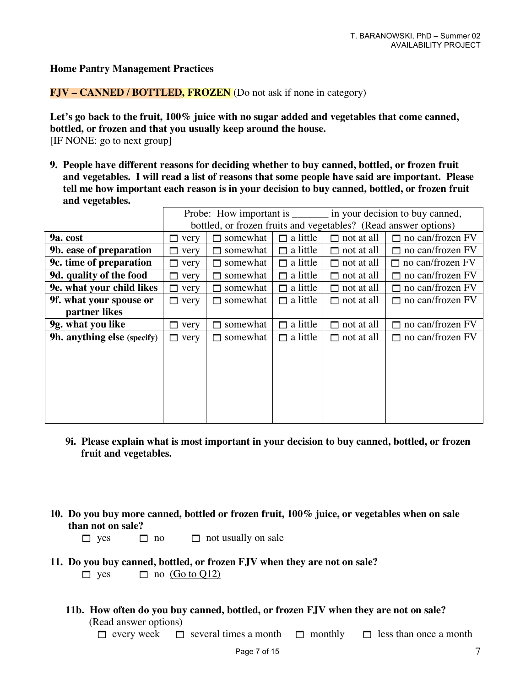#### **Home Pantry Management Practices**

**FJV – CANNED / BOTTLED, FROZEN** (Do not ask if none in category)

**Let's go back to the fruit, 100% juice with no sugar added and vegetables that come canned, bottled, or frozen and that you usually keep around the house.** [IF NONE: go to next group]

**9. People have different reasons for deciding whether to buy canned, bottled, or frozen fruit and vegetables. I will read a list of reasons that some people have said are important. Please tell me how important each reason is in your decision to buy canned, bottled, or frozen fruit and vegetables.**

|                                    |            |                |                                                                 |                   | Probe: How important is ________ in your decision to buy canned, |
|------------------------------------|------------|----------------|-----------------------------------------------------------------|-------------------|------------------------------------------------------------------|
|                                    |            |                | bottled, or frozen fruits and vegetables? (Read answer options) |                   |                                                                  |
| 9a. cost                           | very       | somewhat       | a little<br>п                                                   | not at all<br>ш   | $\Box$ no can/frozen FV                                          |
| 9b. ease of preparation            | very       | somewhat<br>⊓  | a little<br>П                                                   | not at all<br>П   | $\Box$ no can/frozen FV                                          |
| 9c. time of preparation            | very       | somewhat       | a little                                                        | not at all<br>п   | $\Box$ no can/frozen FV                                          |
| 9d. quality of the food            | very       | somewhat<br>⊓  | a little<br>П                                                   | not at all<br>П   | $\Box$ no can/frozen FV                                          |
| 9e. what your child likes          | very<br>П. | somewhat<br>⊓  | $\Box$ a little                                                 | not at all<br>П   | $\Box$ no can/frozen FV                                          |
| 9f. what your spouse or            | very<br>П. | somewhat<br>П. | $\Box$ a little                                                 | $\Box$ not at all | $\Box$ no can/frozen FV                                          |
| partner likes                      |            |                |                                                                 |                   |                                                                  |
| 9g. what you like                  | very       | somewhat<br>□  | a little                                                        | not at all<br>П   | $\Box$ no can/frozen FV                                          |
| <b>9h. anything else</b> (specify) | very<br>П. | somewhat<br>⊓  | $\Box$ a little                                                 | $\Box$ not at all | $\Box$ no can/frozen FV                                          |
|                                    |            |                |                                                                 |                   |                                                                  |
|                                    |            |                |                                                                 |                   |                                                                  |
|                                    |            |                |                                                                 |                   |                                                                  |
|                                    |            |                |                                                                 |                   |                                                                  |
|                                    |            |                |                                                                 |                   |                                                                  |
|                                    |            |                |                                                                 |                   |                                                                  |
|                                    |            |                |                                                                 |                   |                                                                  |

- **9i. Please explain what is most important in your decision to buy canned, bottled, or frozen fruit and vegetables.**
- **10. Do you buy more canned, bottled or frozen fruit, 100% juice, or vegetables when on sale than not on sale?**
	- $\Box$  yes  $\Box$  no  $\Box$  not usually on sale
- **11. Do you buy canned, bottled, or frozen FJV when they are not on sale?**

 $\Box$  yes  $\Box$  no (Go to O12)

**11b. How often do you buy canned, bottled, or frozen FJV when they are not on sale?**

(Read answer options)

 $\Box$  every week  $\Box$  several times a month  $\Box$  monthly  $\Box$  less than once a month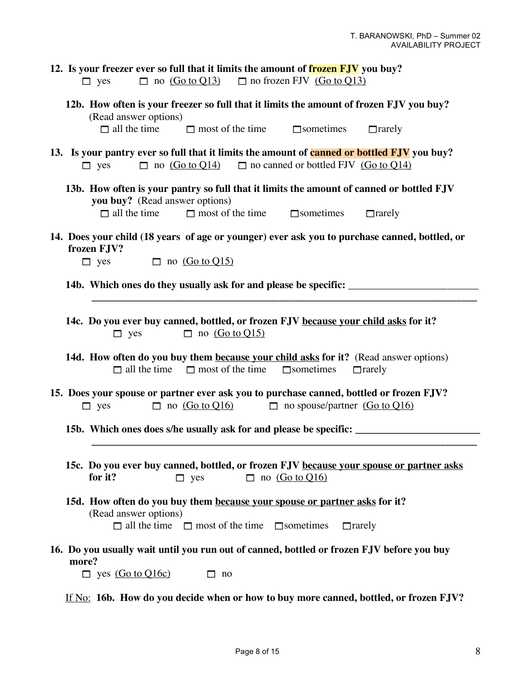| 12. Is your freezer ever so full that it limits the amount of <b>frozen FJV</b> you buy?<br>$\Box$ no $(Go \text{ to } Q13)$ $\Box$ no frozen FJV $(Go \text{ to } Q13)$<br>$\Box$ yes                         |  |  |  |  |  |
|----------------------------------------------------------------------------------------------------------------------------------------------------------------------------------------------------------------|--|--|--|--|--|
| 12b. How often is your freezer so full that it limits the amount of frozen FJV you buy?<br>(Read answer options)<br>$\Box$ all the time<br>$\Box$ most of the time<br>$\Box$ sometimes<br>$\Box$ rarely        |  |  |  |  |  |
| 13. Is your pantry ever so full that it limits the amount of canned or bottled FJV you buy?<br>$\Box$ no (Go to Q14) $\Box$ no canned or bottled FJV (Go to Q14)<br>$\Box$ yes                                 |  |  |  |  |  |
| 13b. How often is your pantry so full that it limits the amount of canned or bottled FJV<br>you buy? (Read answer options)<br>$\Box$ all the time<br>$\Box$ most of the time $\Box$ sometimes<br>$\Box$ rarely |  |  |  |  |  |
| 14. Does your child (18 years of age or younger) ever ask you to purchase canned, bottled, or<br>frozen FJV?<br>$\Box$ no (Go to Q15)<br>$\Box$ yes                                                            |  |  |  |  |  |
|                                                                                                                                                                                                                |  |  |  |  |  |
| 14c. Do you ever buy canned, bottled, or frozen FJV because your child asks for it?<br>$\Box$ no (Go to Q15)<br>$\Box$ yes                                                                                     |  |  |  |  |  |
| 14d. How often do you buy them because your child asks for it? (Read answer options)<br>$\Box$ all the time $\Box$ most of the time<br>$\Box$ sometimes<br>$\Box$ rarely                                       |  |  |  |  |  |
| 15. Does your spouse or partner ever ask you to purchase canned, bottled or frozen FJV?<br>$\Box$ no <u>(Go to Q16)</u><br>$\Box$ no spouse/partner (Go to Q16)<br>$\Box$ yes                                  |  |  |  |  |  |
| 15b. Which ones does s/he usually ask for and please be specific: _______________                                                                                                                              |  |  |  |  |  |
| 15c. Do you ever buy canned, bottled, or frozen FJV because your spouse or partner asks<br>$\Box$ no (Go to Q16)<br>for it?<br>$\Box$ yes                                                                      |  |  |  |  |  |
| 15d. How often do you buy them because your spouse or partner asks for it?<br>(Read answer options)<br>$\Box$ all the time $\Box$ most of the time $\Box$ sometimes<br>$\Box$ rarely                           |  |  |  |  |  |
| 16. Do you usually wait until you run out of canned, bottled or frozen FJV before you buy<br>more?<br>$\Box$ yes (Go to Q16c)<br>no                                                                            |  |  |  |  |  |

If No: **16b. How do you decide when or how to buy more canned, bottled, or frozen FJV?**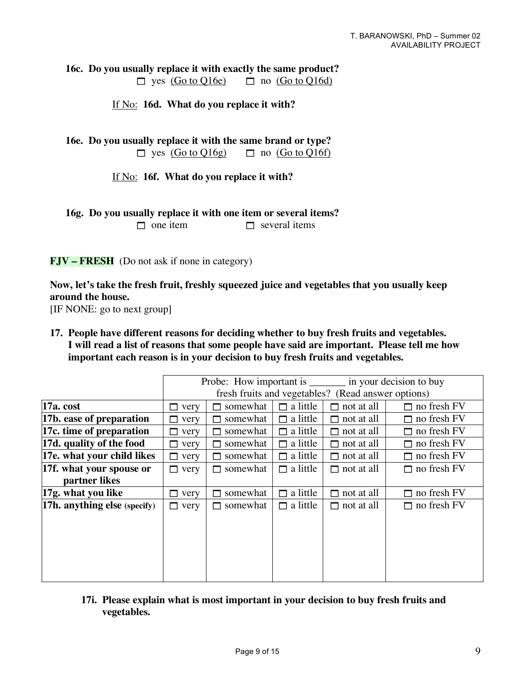**16c. Do you usually replace it with exactly the same product?**  $\Box$  yes (Go to Q16e)  $\Box$  no (Go to Q16d)

If No: **16d. What do you replace it with?**

**16e. Do you usually replace it with the same brand or type?**  $\Box$  yes  $(Go \text{ to } Q16g)$   $\Box$  no  $(Go \text{ to } Q16f)$ 

If No: **16f. What do you replace it with?**

**16g. Do you usually replace it with one item or several items?**

 $\Box$  one item  $\Box$  several items

**FJV – FRESH** (Do not ask if none in category)

**Now, let's take the fresh fruit, freshly squeezed juice and vegetables that you usually keep around the house.**

[IF NONE: go to next group]

**17. People have different reasons for deciding whether to buy fresh fruits and vegetables. I will read a list of reasons that some people have said are important. Please tell me how important each reason is in your decision to buy fresh fruits and vegetables.**

|                                     |                                                    | Probe: How important is ________ in your decision to buy |                 |                   |                    |  |
|-------------------------------------|----------------------------------------------------|----------------------------------------------------------|-----------------|-------------------|--------------------|--|
|                                     | fresh fruits and vegetables? (Read answer options) |                                                          |                 |                   |                    |  |
| 17a. cost                           | very<br>П                                          | somewhat                                                 | $\Box$ a little | $\Box$ not at all | $\Box$ no fresh FV |  |
| 17b. ease of preparation            | ⊓<br>very                                          | somewhat                                                 | $\Box$ a little | $\Box$ not at all | $\Box$ no fresh FV |  |
| 17c. time of preparation            | very<br>п                                          | somewhat                                                 | $\Box$ a little | $\Box$ not at all | $\Box$ no fresh FV |  |
| 17d. quality of the food            | very<br>п                                          | somewhat                                                 | $\Box$ a little | $\Box$ not at all | $\Box$ no fresh FV |  |
| 17e. what your child likes          | $\Box$ very                                        | somewhat                                                 | $\Box$ a little | $\Box$ not at all | $\Box$ no fresh FV |  |
| 17f. what your spouse or            | $\Box$ very                                        | $\Box$ somewhat                                          | $\Box$ a little | $\Box$ not at all | $\Box$ no fresh FV |  |
| partner likes                       |                                                    |                                                          |                 |                   |                    |  |
| 17g. what you like                  | very<br>П.                                         | somewhat                                                 | a little<br>П.  | not at all<br>П   | $\Box$ no fresh FV |  |
| <b>17h. anything else</b> (specify) | $\Box$ very                                        | somewhat<br>П                                            | $\Box$ a little | $\Box$ not at all | $\Box$ no fresh FV |  |
|                                     |                                                    |                                                          |                 |                   |                    |  |
|                                     |                                                    |                                                          |                 |                   |                    |  |
|                                     |                                                    |                                                          |                 |                   |                    |  |
|                                     |                                                    |                                                          |                 |                   |                    |  |
|                                     |                                                    |                                                          |                 |                   |                    |  |
|                                     |                                                    |                                                          |                 |                   |                    |  |

**17i. Please explain what is most important in your decision to buy fresh fruits and vegetables.**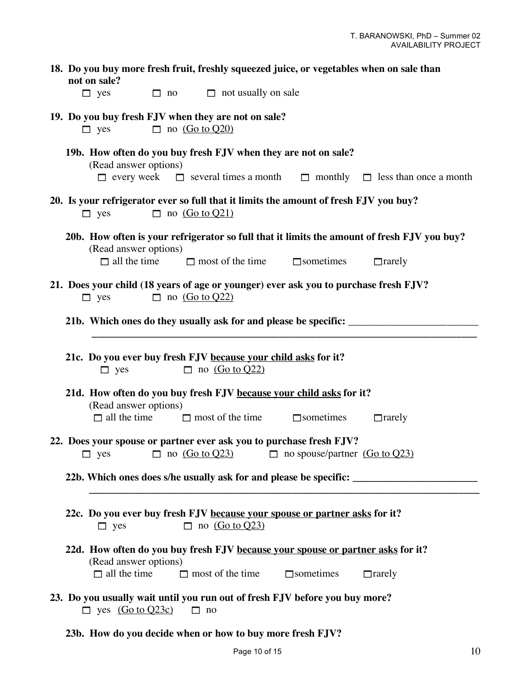|                                              |                       |                                                                                         |                                                                                                                                                | 18. Do you buy more fresh fruit, freshly squeezed juice, or vegetables when on sale than                     |
|----------------------------------------------|-----------------------|-----------------------------------------------------------------------------------------|------------------------------------------------------------------------------------------------------------------------------------------------|--------------------------------------------------------------------------------------------------------------|
| not on sale?<br>$\Box$ yes                   | $\Box$ no             | $\Box$ not usually on sale                                                              |                                                                                                                                                |                                                                                                              |
| $\Box$ yes                                   | $\Box$ no (Go to Q20) | 19. Do you buy fresh FJV when they are not on sale?                                     |                                                                                                                                                |                                                                                                              |
| (Read answer options)                        |                       |                                                                                         | 19b. How often do you buy fresh FJV when they are not on sale?                                                                                 | $\Box$ every week $\Box$ several times a month $\Box$ monthly $\Box$ less than once a month                  |
| $\Box$ yes                                   | $\Box$ no (Go to Q21) |                                                                                         | 20. Is your refrigerator ever so full that it limits the amount of fresh FJV you buy?                                                          |                                                                                                              |
| (Read answer options)<br>$\Box$ all the time |                       | $\Box$ most of the time                                                                 | $\Box$ sometimes                                                                                                                               | 20b. How often is your refrigerator so full that it limits the amount of fresh FJV you buy?<br>$\Box$ rarely |
| $\Box$ yes                                   | $\Box$ no (Go to Q22) |                                                                                         | 21. Does your child (18 years of age or younger) ever ask you to purchase fresh FJV?                                                           |                                                                                                              |
|                                              |                       |                                                                                         |                                                                                                                                                |                                                                                                              |
| $\Box$ yes                                   |                       | 21c. Do you ever buy fresh FJV because your child asks for it?<br>$\Box$ no (Go to Q22) |                                                                                                                                                |                                                                                                              |
| (Read answer options)                        |                       |                                                                                         | 21d. How often do you buy fresh FJV because your child asks for it?                                                                            |                                                                                                              |
|                                              |                       | $\Box$ all the time $\Box$ most of the time                                             | $\Box$ sometimes                                                                                                                               | $\Box$ rarely                                                                                                |
|                                              |                       |                                                                                         | 22. Does your spouse or partner ever ask you to purchase fresh FJV?<br>$\Box$ yes $\Box$ no $(Got 0Q23)$ $\Box$ no spouse/partner $(Got 0Q23)$ |                                                                                                              |
|                                              |                       |                                                                                         |                                                                                                                                                | 22b. Which ones does s/he usually ask for and please be specific: __________________________________         |
| $\Box$ yes                                   |                       | $\Box$ no (Go to Q23)                                                                   | 22c. Do you ever buy fresh FJV because your spouse or partner asks for it?                                                                     |                                                                                                              |
| (Read answer options)                        |                       |                                                                                         | 22d. How often do you buy fresh FJV because your spouse or partner asks for it?                                                                |                                                                                                              |
| $\Box$ all the time                          |                       | $\Box$ most of the time                                                                 | $\Box$ sometimes                                                                                                                               | $\Box$ rarely                                                                                                |
| $\Box$ yes $(Go to Q23c)$                    |                       | $\Box$ no                                                                               | 23. Do you usually wait until you run out of fresh FJV before you buy more?                                                                    |                                                                                                              |

**23b. How do you decide when or how to buy more fresh FJV?**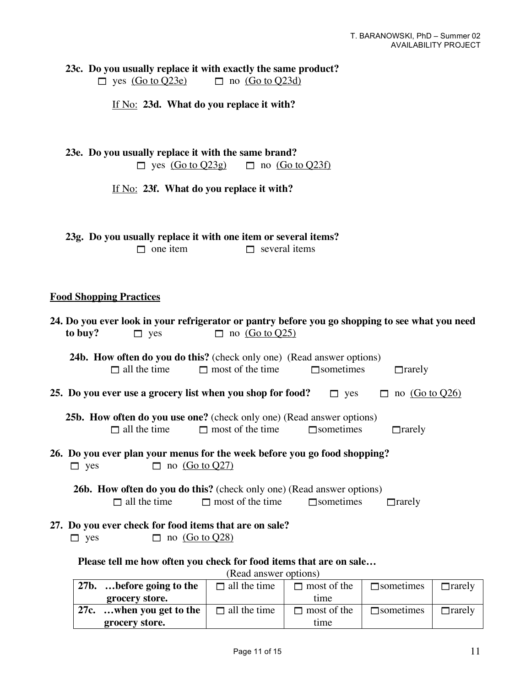**23c. Do** you usually replace it with exactly the same product?<br> $\Box$  yes  $\overline{(Go to Q23e)}$   $\Box$  no  $\overline{(Go to Q23d)}$  $\Box$  yes  $\overline{(Go to Q23e)}$ 

If No: **23d. What do you replace it with?**

| 23e. Do you usually replace it with the same brand? |                        |
|-----------------------------------------------------|------------------------|
| $\Box$ yes $(Go \text{ to } Q23g)$                  | $\Box$ no (Go to Q23f) |

If No: **23f. What do you replace it with?**

|                 | 23g. Do you usually replace it with one item or several items? |
|-----------------|----------------------------------------------------------------|
| $\Box$ one item | $\Box$ several items                                           |

# **Food Shopping Practices**

| 24. Do you ever look in your refrigerator or pantry before you go shopping to see what you need                         |                                                                              |                                                                              |                         |                    |                  |               |
|-------------------------------------------------------------------------------------------------------------------------|------------------------------------------------------------------------------|------------------------------------------------------------------------------|-------------------------|--------------------|------------------|---------------|
|                                                                                                                         | to buy?                                                                      | $\Box$ yes                                                                   | $\Box$ no (Go to Q25)   |                    |                  |               |
|                                                                                                                         | <b>24b. How often do you do this?</b> (check only one) (Read answer options) |                                                                              |                         |                    |                  |               |
|                                                                                                                         |                                                                              | $\Box$ all the time                                                          | $\Box$ most of the time | $\Box$ sometimes   | $\Box$ rarely    |               |
| 25. Do you ever use a grocery list when you shop for food?<br>$\Box$ no (Go to Q26)<br>$\Box$ yes                       |                                                                              |                                                                              |                         |                    |                  |               |
|                                                                                                                         |                                                                              | <b>25b. How often do you use one?</b> (check only one) (Read answer options) |                         |                    |                  |               |
|                                                                                                                         |                                                                              | $\Box$ all the time                                                          | $\Box$ most of the time | $\Box$ sometimes   | $\Box$ rarely    |               |
| 26. Do you ever plan your menus for the week before you go food shopping?<br>$\Box$ no <u>(Go to Q27)</u><br>$\Box$ yes |                                                                              |                                                                              |                         |                    |                  |               |
| <b>26b. How often do you do this?</b> (check only one) (Read answer options)                                            |                                                                              |                                                                              |                         |                    |                  |               |
|                                                                                                                         |                                                                              | $\Box$ all the time                                                          | $\Box$ most of the time | $\Box$ sometimes   | $\Box$ rarely    |               |
| 27. Do you ever check for food items that are on sale?<br>$\Box$ no (Go to Q28)<br>$\Box$ yes                           |                                                                              |                                                                              |                         |                    |                  |               |
| Please tell me how often you check for food items that are on sale                                                      |                                                                              |                                                                              |                         |                    |                  |               |
| (Read answer options)                                                                                                   |                                                                              |                                                                              |                         |                    |                  |               |
|                                                                                                                         |                                                                              | 27b. before going to the                                                     | $\Box$ all the time     | $\Box$ most of the | $\Box$ sometimes | $\Box$ rarely |

| $\angle$ , $\ldots$ , $\ldots$ , $\ldots$ , $\Box$ , $\Box$ , $\Box$ , $\Box$ , $\Box$ , $\Box$ , $\Box$ , $\Box$ | all the third.      | <u>HIUST OF TIIC</u> | $\overline{\phantom{a}}$ | $\mu$ al CIV |
|-------------------------------------------------------------------------------------------------------------------|---------------------|----------------------|--------------------------|--------------|
| grocery store.                                                                                                    |                     | tıme                 |                          |              |
| 27c. when you get to the                                                                                          | $\Box$ all the time | most of the          | $\Box$ sometimes         | ∃rarelv      |
| grocery store.                                                                                                    |                     | tıme                 |                          |              |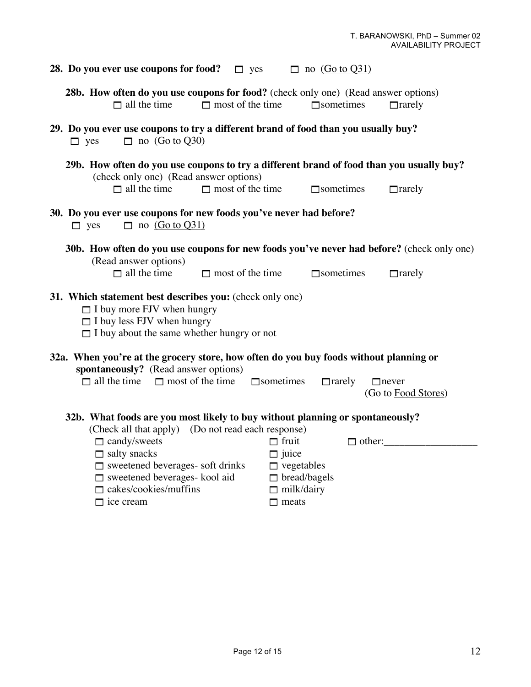| 28. Do you ever use coupons for food? $\Box$ yes                                                                                                                                                                                                                                                                            | $\Box$ no (Go to Q31)                                                                                                          |  |  |  |
|-----------------------------------------------------------------------------------------------------------------------------------------------------------------------------------------------------------------------------------------------------------------------------------------------------------------------------|--------------------------------------------------------------------------------------------------------------------------------|--|--|--|
| 28b. How often do you use coupons for food? (check only one) (Read answer options)<br>$\Box$ all the time<br>$\Box$ most of the time                                                                                                                                                                                        | $\Box$ sometimes<br>$\Box$ rarely                                                                                              |  |  |  |
| 29. Do you ever use coupons to try a different brand of food than you usually buy?<br>$\Box$ no (Go to Q30)<br>$\Box$ yes                                                                                                                                                                                                   |                                                                                                                                |  |  |  |
| (check only one) (Read answer options)<br>$\Box$ all the time<br>$\Box$ most of the time                                                                                                                                                                                                                                    | 29b. How often do you use coupons to try a different brand of food than you usually buy?<br>$\Box$ sometimes<br>$\Box$ rarely  |  |  |  |
| 30. Do you ever use coupons for new foods you've never had before?<br>$\Box$ no (Go to Q31)<br>$\Box$ yes                                                                                                                                                                                                                   |                                                                                                                                |  |  |  |
| (Read answer options)<br>$\Box$ all the time<br>$\Box$ most of the time                                                                                                                                                                                                                                                     | 30b. How often do you use coupons for new foods you've never had before? (check only one)<br>$\Box$ sometimes<br>$\Box$ rarely |  |  |  |
| 31. Which statement best describes you: (check only one)<br>$\Box$ I buy more FJV when hungry<br>$\Box$ I buy less FJV when hungry<br>$\Box$ I buy about the same whether hungry or not                                                                                                                                     |                                                                                                                                |  |  |  |
| 32a. When you're at the grocery store, how often do you buy foods without planning or<br>spontaneously? (Read answer options)<br>$\Box$ all the time $\Box$ most of the time<br>$\Box$ sometimes<br>$\Box$ rarely<br>$\Box$ never<br>(Go to Food Stores)                                                                    |                                                                                                                                |  |  |  |
| 32b. What foods are you most likely to buy without planning or spontaneously?<br>(Check all that apply) (Do not read each response)<br>$\Box$ candy/sweets<br>$\Box$ salty snacks<br>$\Box$ sweetened beverages- soft drinks<br>$\square$ sweetened beverages- kool aid<br>$\Box$ cakes/cookies/muffins<br>$\Box$ ice cream | $\Box$ fruit<br>$\Box$ other:<br>$\Box$ juice<br>$\Box$ vegetables<br>bread/bagels<br>$\Box$ milk/dairy<br>$\Box$ meats        |  |  |  |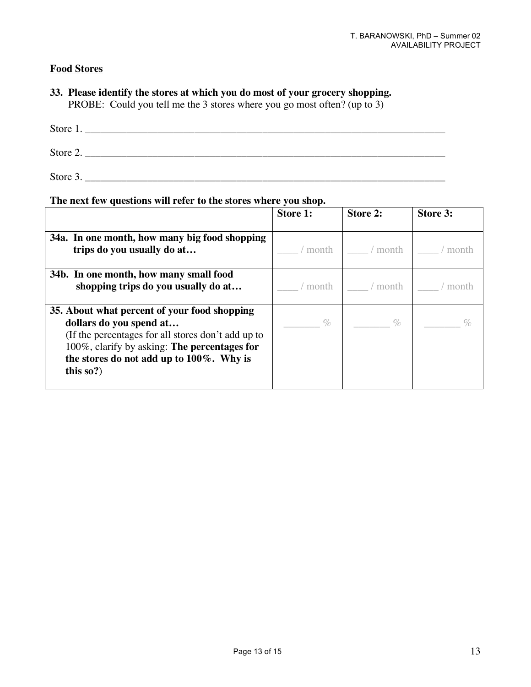# **Food Stores**

## **33. Please identify the stores at which you do most of your grocery shopping.** PROBE: Could you tell me the 3 stores where you go most often? (up to 3)

| Store 1. |  |  |
|----------|--|--|
| Store 2. |  |  |
| Store 3. |  |  |

#### **The next few questions will refer to the stores where you shop.**

|                                                                                                                                                                                                                                         | <b>Store 1:</b> | Store 2: | Store 3: |
|-----------------------------------------------------------------------------------------------------------------------------------------------------------------------------------------------------------------------------------------|-----------------|----------|----------|
| 34a. In one month, how many big food shopping<br>trips do you usually do at                                                                                                                                                             | month           | month    | m∩ntŀ    |
| 34b. In one month, how many small food<br>shopping trips do you usually do at                                                                                                                                                           | month           | month    |          |
| 35. About what percent of your food shopping<br>dollars do you spend at<br>(If the percentages for all stores don't add up to<br>100%, clarify by asking: The percentages for<br>the stores do not add up to 100%. Why is<br>this $so?$ | $\%$            | $\%$     |          |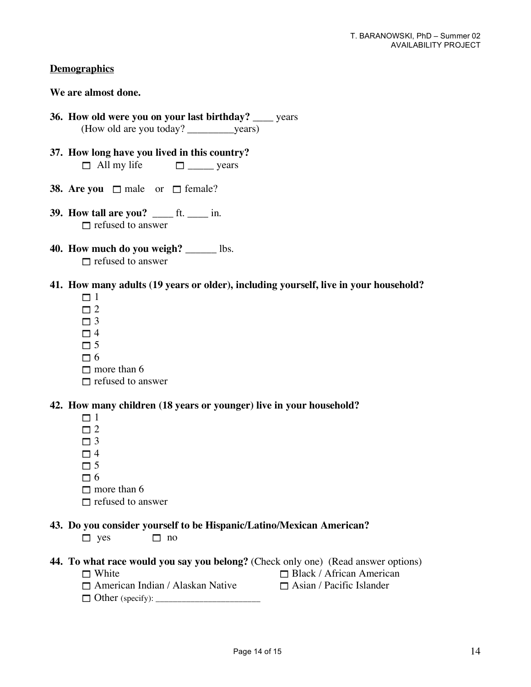#### **Demographics**

### **We are almost done.**

- **36. How old were you on your last birthday?** \_\_\_\_ years (How old are you today? \_\_\_\_\_\_\_\_\_years)
- **37. How long have you lived in this country?**  $\Box$  All my life  $\Box$  \_\_\_\_\_\_ years
- **38.** Are you  $\Box$  male or  $\Box$  female?
- **39. How tall are you?** \_\_\_\_ ft. \_\_\_\_ in.  $\Box$  refused to answer
- **40. How much do you weigh?** \_\_\_\_\_\_ lbs.  $\Box$  refused to answer
- **41. How many adults (19 years or older), including yourself, live in your household?**
	- $\Box$  1
	- $\Box$  2
	- $\Box$  3
	- $\Box$  4
	- $\Box$  5
	- $\Box$  6
	- $\Box$  more than 6
	- $\Box$  refused to answer

#### **42. How many children (18 years or younger) live in your household?**

- $\Box$  1
- $\Box$  2
- $\Box$ 3
- $\Box$  4
- $\Box$  5
- $\Box$  6
- $\Box$  more than 6
- $\Box$  refused to answer

### **43. Do you consider yourself to be Hispanic/Latino/Mexican American?**

- $\Box$  yes  $\Box$  no
- **44. To what race would you say you belong?** (Check only one) (Read answer options)
	- $\Box$  White  $\Box$  Black / African American
	- $\Box$  American Indian / Alaskan Native  $\Box$  Asian / Pacific Islander
	- Other (specify): \_\_\_\_\_\_\_\_\_\_\_\_\_\_\_\_\_\_\_\_\_\_\_\_